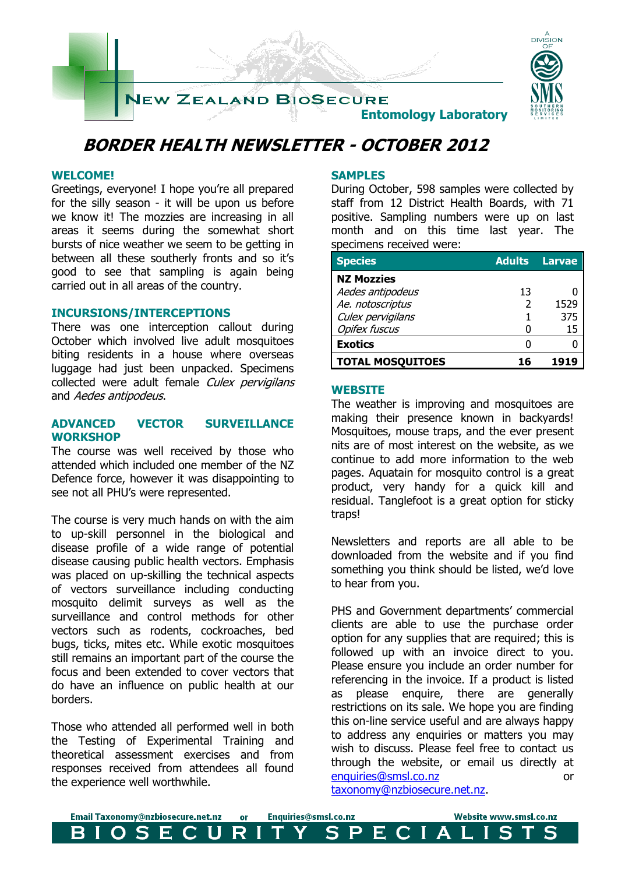

# **BORDER HEALTH NEWSLETTER - OCTOBER 2012**

### **WELCOME!**

Greetings, everyone! I hope you're all prepared for the silly season - it will be upon us before we know it! The mozzies are increasing in all areas it seems during the somewhat short bursts of nice weather we seem to be getting in between all these southerly fronts and so it's good to see that sampling is again being carried out in all areas of the country.

### **INCURSIONS/INTERCEPTIONS**

There was one interception callout during October which involved live adult mosquitoes biting residents in a house where overseas luggage had just been unpacked. Specimens collected were adult female Culex pervigilans and Aedes antipodeus.

### **ADVANCED VECTOR SURVEILLANCE WORKSHOP**

The course was well received by those who attended which included one member of the NZ Defence force, however it was disappointing to see not all PHU's were represented.

The course is very much hands on with the aim to up-skill personnel in the biological and disease profile of a wide range of potential disease causing public health vectors. Emphasis was placed on up-skilling the technical aspects of vectors surveillance including conducting mosquito delimit surveys as well as the surveillance and control methods for other vectors such as rodents, cockroaches, bed bugs, ticks, mites etc. While exotic mosquitoes still remains an important part of the course the focus and been extended to cover vectors that do have an influence on public health at our borders.

Those who attended all performed well in both the Testing of Experimental Training and theoretical assessment exercises and from responses received from attendees all found the experience well worthwhile.

### **SAMPLES**

During October, 598 samples were collected by staff from 12 District Health Boards, with 71 positive. Sampling numbers were up on last month and on this time last year. The specimens received were:

| <b>Species</b>          | <b>Adults</b> | Larvae |
|-------------------------|---------------|--------|
| <b>NZ Mozzies</b>       |               |        |
| Aedes antipodeus        | 13            |        |
| Ae. notoscriptus        | 2             | 1529   |
| Culex pervigilans       |               | 375    |
| <b>Opifex fuscus</b>    |               | 15     |
| <b>Exotics</b>          |               |        |
| <b>TOTAL MOSQUITOES</b> |               | 1919   |

#### **WEBSITE**

The weather is improving and mosquitoes are making their presence known in backyards! Mosquitoes, mouse traps, and the ever present nits are of most interest on the website, as we continue to add more information to the web pages. Aquatain for mosquito control is a great product, very handy for a quick kill and residual. Tanglefoot is a great option for sticky traps!

Newsletters and reports are all able to be downloaded from the website and if you find something you think should be listed, we'd love to hear from you.

PHS and Government departments' commercial clients are able to use the purchase order option for any supplies that are required; this is followed up with an invoice direct to you. Please ensure you include an order number for referencing in the invoice. If a product is listed as please enquire, there are generally restrictions on its sale. We hope you are finding this on-line service useful and are always happy to address any enquiries or matters you may wish to discuss. Please feel free to contact us through the website, or email us directly at [enquiries@smsl.co.nz](mailto:enquiries@smsl.co.nz) or [taxonomy@nzbiosecure.net.nz.](mailto:taxonomy@nzbiosecure.net.nz)

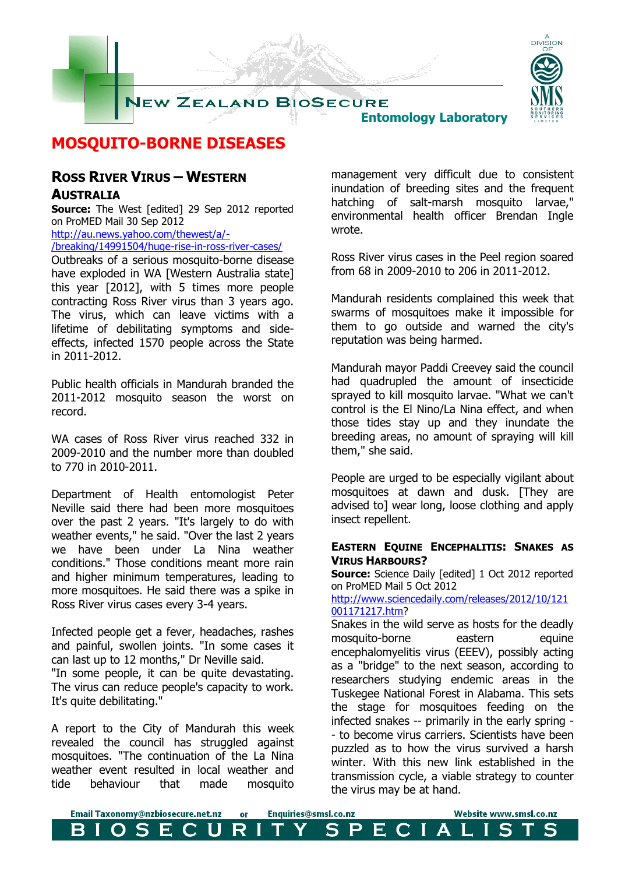

### **MOSQUITO-BORNE DISEASES**

### **ROSS RIVER VIRUS – WESTERN AUSTRALIA**

**Source:** The West [edited] 29 Sep 2012 reported on ProMED Mail 30 Sep 2012

[http://au.news.yahoo.com/thewest/a/-](http://au.news.yahoo.com/thewest/a/-/breaking/14991504/huge-rise-in-ross-river-cases/)

[/breaking/14991504/huge-rise-in-ross-river-cases/](http://au.news.yahoo.com/thewest/a/-/breaking/14991504/huge-rise-in-ross-river-cases/)

Outbreaks of a serious mosquito-borne disease have exploded in WA [Western Australia state] this year [2012], with 5 times more people contracting Ross River virus than 3 years ago. The virus, which can leave victims with a lifetime of debilitating symptoms and sideeffects, infected 1570 people across the State in 2011-2012.

Public health officials in Mandurah branded the 2011-2012 mosquito season the worst on record.

WA cases of Ross River virus reached 332 in 2009-2010 and the number more than doubled to 770 in 2010-2011.

Department of Health entomologist Peter Neville said there had been more mosquitoes over the past 2 years. "It's largely to do with weather events," he said. "Over the last 2 years we have been under La Nina weather conditions." Those conditions meant more rain and higher minimum temperatures, leading to more mosquitoes. He said there was a spike in Ross River virus cases every 3-4 years.

Infected people get a fever, headaches, rashes and painful, swollen joints. "In some cases it can last up to 12 months," Dr Neville said. "In some people, it can be quite devastating. The virus can reduce people's capacity to work. It's quite debilitating."

A report to the City of Mandurah this week revealed the council has struggled against mosquitoes. "The continuation of the La Nina weather event resulted in local weather and tide behaviour that made mosquito management very difficult due to consistent inundation of breeding sites and the frequent hatching of salt-marsh mosquito larvae," environmental health officer Brendan Ingle wrote.

Ross River virus cases in the Peel region soared from 68 in 2009-2010 to 206 in 2011-2012.

Mandurah residents complained this week that swarms of mosquitoes make it impossible for them to go outside and warned the city's reputation was being harmed.

Mandurah mayor Paddi Creevey said the council had quadrupled the amount of insecticide sprayed to kill mosquito larvae. "What we can't control is the El Nino/La Nina effect, and when those tides stay up and they inundate the breeding areas, no amount of spraying will kill them," she said.

People are urged to be especially vigilant about mosquitoes at dawn and dusk. [They are advised to] wear long, loose clothing and apply insect repellent.

### **EASTERN EQUINE ENCEPHALITIS: SNAKES AS VIRUS HARBOURS?**

**Source:** Science Daily [edited] 1 Oct 2012 reported on ProMED Mail 5 Oct 2012

[http://www.sciencedaily.com/releases/2012/10/121](http://www.sciencedaily.com/releases/2012/10/121001171217.htm) [001171217.htm?](http://www.sciencedaily.com/releases/2012/10/121001171217.htm)

Snakes in the wild serve as hosts for the deadly mosquito-borne eastern equine encephalomyelitis virus (EEEV), possibly acting as a "bridge" to the next season, according to researchers studying endemic areas in the Tuskegee National Forest in Alabama. This sets the stage for mosquitoes feeding on the infected snakes -- primarily in the early spring - - to become virus carriers. Scientists have been puzzled as to how the virus survived a harsh winter. With this new link established in the transmission cycle, a viable strategy to counter the virus may be at hand.

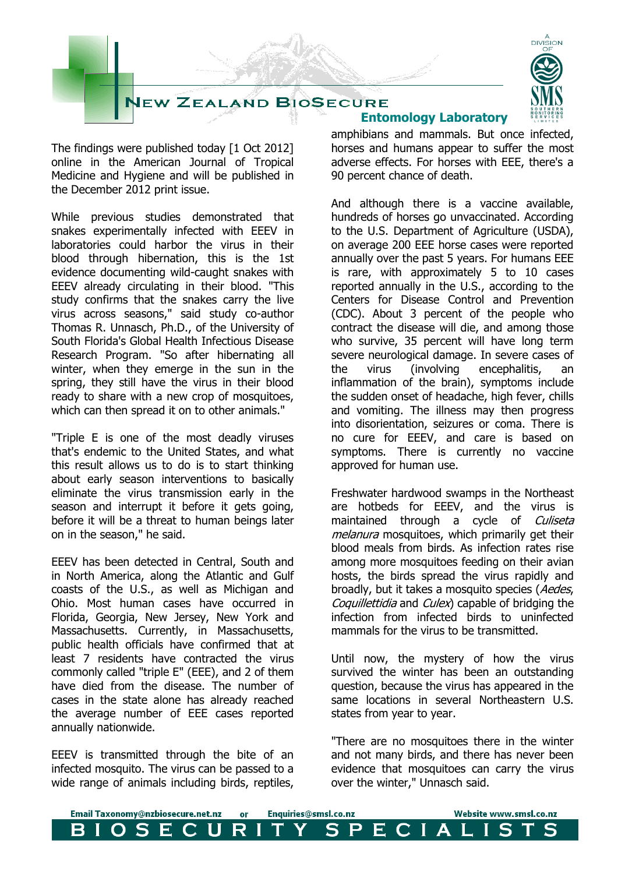

The findings were published today [1 Oct 2012] online in the American Journal of Tropical Medicine and Hygiene and will be published in the December 2012 print issue.

While previous studies demonstrated that snakes experimentally infected with EEEV in laboratories could harbor the virus in their blood through hibernation, this is the 1st evidence documenting wild-caught snakes with EEEV already circulating in their blood. "This study confirms that the snakes carry the live virus across seasons," said study co-author Thomas R. Unnasch, Ph.D., of the University of South Florida's Global Health Infectious Disease Research Program. "So after hibernating all winter, when they emerge in the sun in the spring, they still have the virus in their blood ready to share with a new crop of mosquitoes, which can then spread it on to other animals."

"Triple E is one of the most deadly viruses that's endemic to the United States, and what this result allows us to do is to start thinking about early season interventions to basically eliminate the virus transmission early in the season and interrupt it before it gets going, before it will be a threat to human beings later on in the season," he said.

EEEV has been detected in Central, South and in North America, along the Atlantic and Gulf coasts of the U.S., as well as Michigan and Ohio. Most human cases have occurred in Florida, Georgia, New Jersey, New York and Massachusetts. Currently, in Massachusetts, public health officials have confirmed that at least 7 residents have contracted the virus commonly called "triple E" (EEE), and 2 of them have died from the disease. The number of cases in the state alone has already reached the average number of EEE cases reported annually nationwide.

EEEV is transmitted through the bite of an infected mosquito. The virus can be passed to a wide range of animals including birds, reptiles,

## **Entomology Laboratory**

amphibians and mammals. But once infected, horses and humans appear to suffer the most adverse effects. For horses with EEE, there's a 90 percent chance of death.

And although there is a vaccine available, hundreds of horses go unvaccinated. According to the U.S. Department of Agriculture (USDA), on average 200 EEE horse cases were reported annually over the past 5 years. For humans EEE is rare, with approximately 5 to 10 cases reported annually in the U.S., according to the Centers for Disease Control and Prevention (CDC). About 3 percent of the people who contract the disease will die, and among those who survive, 35 percent will have long term severe neurological damage. In severe cases of the virus (involving encephalitis, an inflammation of the brain), symptoms include the sudden onset of headache, high fever, chills and vomiting. The illness may then progress into disorientation, seizures or coma. There is no cure for EEEV, and care is based on symptoms. There is currently no vaccine approved for human use.

Freshwater hardwood swamps in the Northeast are hotbeds for EEEV, and the virus is maintained through a cycle of Culiseta melanura mosquitoes, which primarily get their blood meals from birds. As infection rates rise among more mosquitoes feeding on their avian hosts, the birds spread the virus rapidly and broadly, but it takes a mosquito species (Aedes, Coquillettidia and Culex) capable of bridging the infection from infected birds to uninfected mammals for the virus to be transmitted.

Until now, the mystery of how the virus survived the winter has been an outstanding question, because the virus has appeared in the same locations in several Northeastern U.S. states from year to year.

"There are no mosquitoes there in the winter and not many birds, and there has never been evidence that mosquitoes can carry the virus over the winter," Unnasch said.

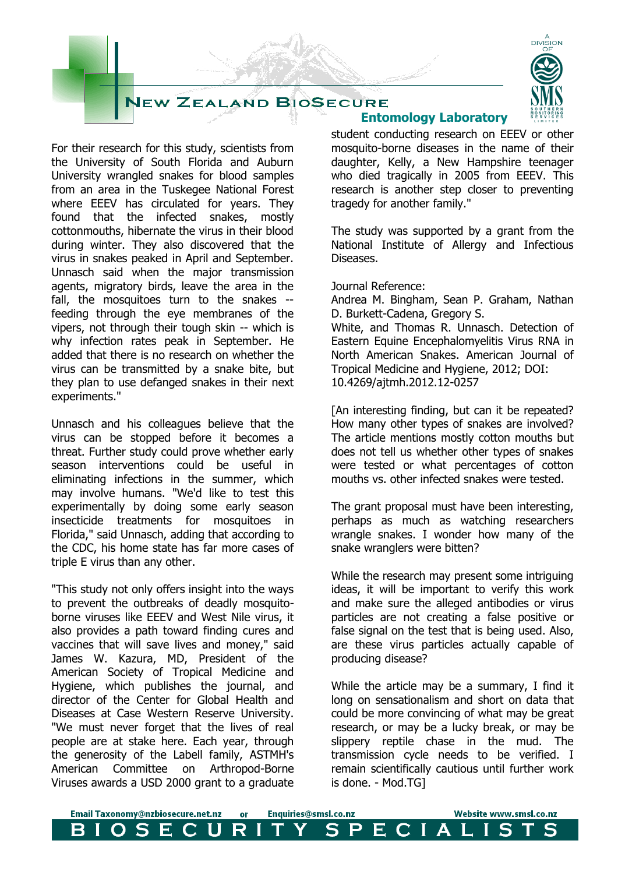



For their research for this study, scientists from the University of South Florida and Auburn University wrangled snakes for blood samples from an area in the Tuskegee National Forest where EEEV has circulated for years. They found that the infected snakes, mostly cottonmouths, hibernate the virus in their blood during winter. They also discovered that the virus in snakes peaked in April and September. Unnasch said when the major transmission agents, migratory birds, leave the area in the fall, the mosquitoes turn to the snakes - feeding through the eye membranes of the vipers, not through their tough skin -- which is why infection rates peak in September. He added that there is no research on whether the virus can be transmitted by a snake bite, but they plan to use defanged snakes in their next experiments."

Unnasch and his colleagues believe that the virus can be stopped before it becomes a threat. Further study could prove whether early season interventions could be useful in eliminating infections in the summer, which may involve humans. "We'd like to test this experimentally by doing some early season insecticide treatments for mosquitoes in Florida," said Unnasch, adding that according to the CDC, his home state has far more cases of triple E virus than any other.

"This study not only offers insight into the ways to prevent the outbreaks of deadly mosquitoborne viruses like EEEV and West Nile virus, it also provides a path toward finding cures and vaccines that will save lives and money," said James W. Kazura, MD, President of the American Society of Tropical Medicine and Hygiene, which publishes the journal, and director of the Center for Global Health and Diseases at Case Western Reserve University. "We must never forget that the lives of real people are at stake here. Each year, through the generosity of the Labell family, ASTMH's American Committee on Arthropod-Borne Viruses awards a USD 2000 grant to a graduate

## **Entomology Laboratory**

student conducting research on EEEV or other mosquito-borne diseases in the name of their daughter, Kelly, a New Hampshire teenager who died tragically in 2005 from EEEV. This research is another step closer to preventing tragedy for another family."

The study was supported by a grant from the National Institute of Allergy and Infectious Diseases.

Journal Reference:

Andrea M. Bingham, Sean P. Graham, Nathan D. Burkett-Cadena, Gregory S. White, and Thomas R. Unnasch. Detection of Eastern Equine Encephalomyelitis Virus RNA in North American Snakes. American Journal of Tropical Medicine and Hygiene, 2012; DOI: 10.4269/ajtmh.2012.12-0257

[An interesting finding, but can it be repeated? How many other types of snakes are involved? The article mentions mostly cotton mouths but does not tell us whether other types of snakes were tested or what percentages of cotton mouths vs. other infected snakes were tested.

The grant proposal must have been interesting, perhaps as much as watching researchers wrangle snakes. I wonder how many of the snake wranglers were bitten?

While the research may present some intriguing ideas, it will be important to verify this work and make sure the alleged antibodies or virus particles are not creating a false positive or false signal on the test that is being used. Also, are these virus particles actually capable of producing disease?

While the article may be a summary, I find it long on sensationalism and short on data that could be more convincing of what may be great research, or may be a lucky break, or may be slippery reptile chase in the mud. The transmission cycle needs to be verified. I remain scientifically cautious until further work is done. - Mod.TG]